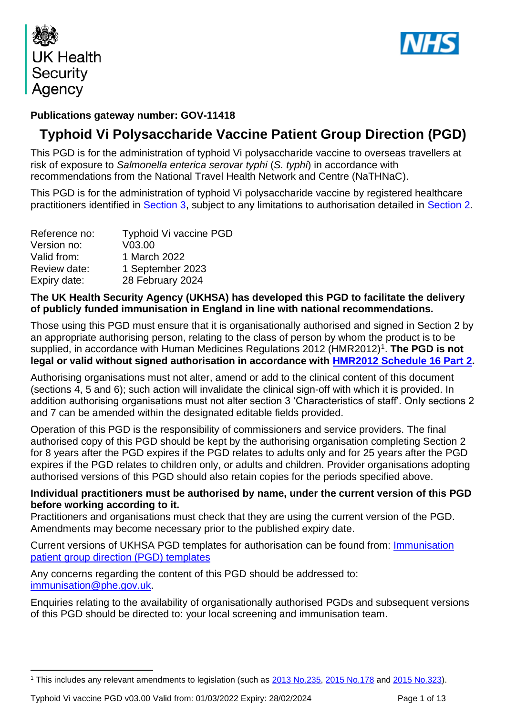



## **Publications gateway number: GOV-11418**

## **Typhoid Vi Polysaccharide Vaccine Patient Group Direction (PGD)**

This PGD is for the administration of typhoid Vi polysaccharide vaccine to overseas travellers at risk of exposure to *Salmonella enterica serovar typhi* (*S. typhi*) in accordance with recommendations from the National Travel Health Network and Centre (NaTHNaC).

This PGD is for the administration of typhoid Vi polysaccharide vaccine by registered healthcare practitioners identified in **Section 3**, subject to any limitations to authorisation detailed in **Section 2**.

| Reference no: | <b>Typhoid Vi vaccine PGD</b> |
|---------------|-------------------------------|
| Version no:   | V <sub>03.00</sub>            |
| Valid from:   | 1 March 2022                  |
| Review date:  | 1 September 2023              |
| Expiry date:  | 28 February 2024              |

## **The UK Health Security Agency (UKHSA) has developed this PGD to facilitate the delivery of publicly funded immunisation in England in line with national recommendations.**

Those using this PGD must ensure that it is organisationally authorised and signed in Section 2 by an appropriate authorising person, relating to the class of person by whom the product is to be supplied, in accordance with Human Medicines Regulations 2012 (HMR2012)<sup>1</sup>. The PGD is not **legal or valid without signed authorisation in accordance with [HMR2012 Schedule](http://www.legislation.gov.uk/uksi/2012/1916/schedule/16/part/2/made) 16 Part 2.** 

Authorising organisations must not alter, amend or add to the clinical content of this document (sections 4, 5 and 6); such action will invalidate the clinical sign-off with which it is provided. In addition authorising organisations must not alter section 3 'Characteristics of staff'. Only sections 2 and 7 can be amended within the designated editable fields provided.

Operation of this PGD is the responsibility of commissioners and service providers. The final authorised copy of this PGD should be kept by the authorising organisation completing Section 2 for 8 years after the PGD expires if the PGD relates to adults only and for 25 years after the PGD expires if the PGD relates to children only, or adults and children. Provider organisations adopting authorised versions of this PGD should also retain copies for the periods specified above.

## **Individual practitioners must be authorised by name, under the current version of this PGD before working according to it.**

Practitioners and organisations must check that they are using the current version of the PGD. Amendments may become necessary prior to the published expiry date.

Current versions of UKHSA PGD templates for authorisation can be found from: [Immunisation](https://www.gov.uk/government/collections/immunisation-patient-group-direction-pgd)  patient group direction [\(PGD\) templates](https://www.gov.uk/government/collections/immunisation-patient-group-direction-pgd)

Any concerns regarding the content of this PGD should be addressed to: [immunisation@phe.gov.uk.](mailto:immunisation@phe.gov.uk)

Enquiries relating to the availability of organisationally authorised PGDs and subsequent versions of this PGD should be directed to: your local screening and immunisation team.

<sup>1</sup> This includes any relevant amendments to legislation (such as [2013 No.235,](http://www.legislation.gov.uk/uksi/2013/235/contents/made) [2015 No.178](http://www.legislation.gov.uk/nisr/2015/178/contents/made) and [2015 No.323\)](http://www.legislation.gov.uk/uksi/2015/323/contents/made).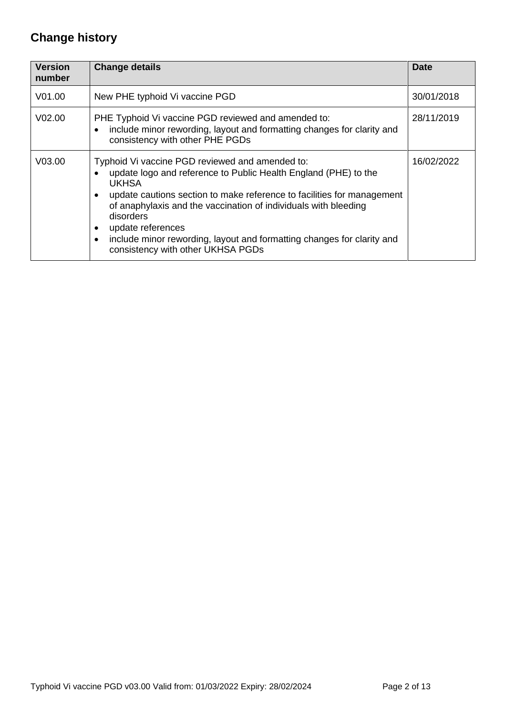# **Change history**

| <b>Version</b><br>number | <b>Change details</b>                                                                                                                                                                                                                                                                                                                                                                                                            | <b>Date</b> |
|--------------------------|----------------------------------------------------------------------------------------------------------------------------------------------------------------------------------------------------------------------------------------------------------------------------------------------------------------------------------------------------------------------------------------------------------------------------------|-------------|
| V01.00                   | New PHE typhoid Vi vaccine PGD                                                                                                                                                                                                                                                                                                                                                                                                   | 30/01/2018  |
| V <sub>02.00</sub>       | PHE Typhoid Vi vaccine PGD reviewed and amended to:<br>include minor rewording, layout and formatting changes for clarity and<br>consistency with other PHE PGDs                                                                                                                                                                                                                                                                 | 28/11/2019  |
| V <sub>03.00</sub>       | Typhoid Vi vaccine PGD reviewed and amended to:<br>update logo and reference to Public Health England (PHE) to the<br><b>UKHSA</b><br>update cautions section to make reference to facilities for management<br>of anaphylaxis and the vaccination of individuals with bleeding<br>disorders<br>update references<br>include minor rewording, layout and formatting changes for clarity and<br>consistency with other UKHSA PGDs | 16/02/2022  |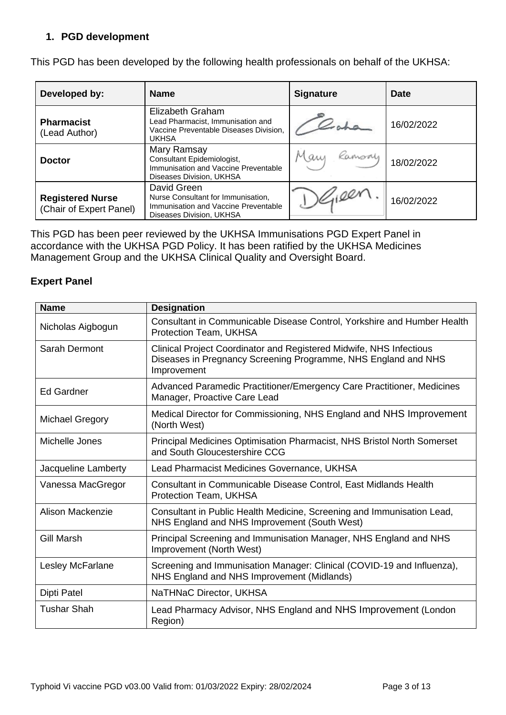## **1. PGD development**

| Developed by:                                      | <b>Name</b>                                                                                                           | <b>Signature</b> | Date       |
|----------------------------------------------------|-----------------------------------------------------------------------------------------------------------------------|------------------|------------|
| <b>Pharmacist</b><br>(Lead Author)                 | Elizabeth Graham<br>Lead Pharmacist, Immunisation and<br>Vaccine Preventable Diseases Division,<br><b>UKHSA</b>       |                  | 16/02/2022 |
| <b>Doctor</b>                                      | Mary Ramsay<br>Consultant Epidemiologist,<br>Immunisation and Vaccine Preventable<br>Diseases Division, UKHSA         | Mary Ramsoy      | 18/02/2022 |
| <b>Registered Nurse</b><br>(Chair of Expert Panel) | David Green<br>Nurse Consultant for Immunisation,<br>Immunisation and Vaccine Preventable<br>Diseases Division, UKHSA |                  | 16/02/2022 |

This PGD has been developed by the following health professionals on behalf of the UKHSA:

This PGD has been peer reviewed by the UKHSA Immunisations PGD Expert Panel in accordance with the UKHSA PGD Policy. It has been ratified by the UKHSA Medicines Management Group and the UKHSA Clinical Quality and Oversight Board.

## **Expert Panel**

| <b>Name</b>            | <b>Designation</b>                                                                                                                                   |
|------------------------|------------------------------------------------------------------------------------------------------------------------------------------------------|
| Nicholas Aigbogun      | Consultant in Communicable Disease Control, Yorkshire and Humber Health<br>Protection Team, UKHSA                                                    |
| Sarah Dermont          | Clinical Project Coordinator and Registered Midwife, NHS Infectious<br>Diseases in Pregnancy Screening Programme, NHS England and NHS<br>Improvement |
| <b>Ed Gardner</b>      | Advanced Paramedic Practitioner/Emergency Care Practitioner, Medicines<br>Manager, Proactive Care Lead                                               |
| <b>Michael Gregory</b> | Medical Director for Commissioning, NHS England and NHS Improvement<br>(North West)                                                                  |
| Michelle Jones         | Principal Medicines Optimisation Pharmacist, NHS Bristol North Somerset<br>and South Gloucestershire CCG                                             |
| Jacqueline Lamberty    | Lead Pharmacist Medicines Governance, UKHSA                                                                                                          |
| Vanessa MacGregor      | Consultant in Communicable Disease Control, East Midlands Health<br>Protection Team, UKHSA                                                           |
| Alison Mackenzie       | Consultant in Public Health Medicine, Screening and Immunisation Lead,<br>NHS England and NHS Improvement (South West)                               |
| <b>Gill Marsh</b>      | Principal Screening and Immunisation Manager, NHS England and NHS<br>Improvement (North West)                                                        |
| Lesley McFarlane       | Screening and Immunisation Manager: Clinical (COVID-19 and Influenza),<br>NHS England and NHS Improvement (Midlands)                                 |
| Dipti Patel            | NaTHNaC Director, UKHSA                                                                                                                              |
| <b>Tushar Shah</b>     | Lead Pharmacy Advisor, NHS England and NHS Improvement (London<br>Region)                                                                            |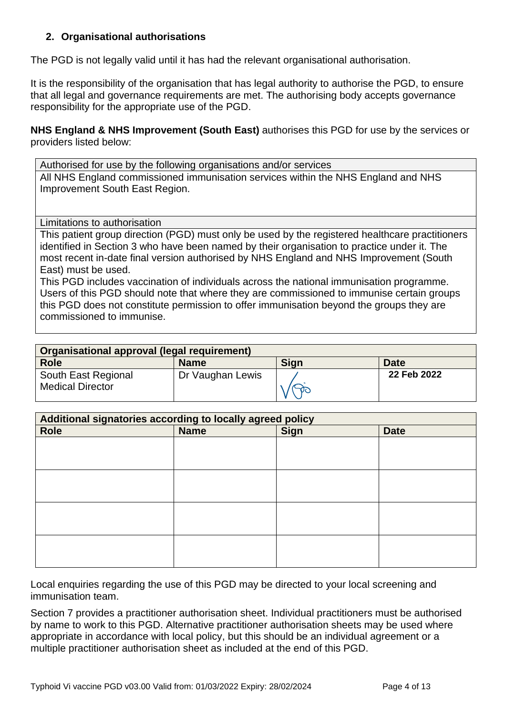## <span id="page-3-0"></span>**2. Organisational authorisations**

The PGD is not legally valid until it has had the relevant organisational authorisation.

It is the responsibility of the organisation that has legal authority to authorise the PGD, to ensure that all legal and governance requirements are met. The authorising body accepts governance responsibility for the appropriate use of the PGD.

**NHS England & NHS Improvement (South East)** authorises this PGD for use by the services or providers listed below:

Authorised for use by the following organisations and/or services All NHS England commissioned immunisation services within the NHS England and NHS Improvement South East Region.

<span id="page-3-1"></span>Limitations to authorisation

This patient group direction (PGD) must only be used by the registered healthcare practitioners identified in Section 3 who have been named by their organisation to practice under it. The most recent in-date final version authorised by NHS England and NHS Improvement (South East) must be used.

This PGD includes vaccination of individuals across the national immunisation programme. Users of this PGD should note that where they are commissioned to immunise certain groups this PGD does not constitute permission to offer immunisation beyond the groups they are commissioned to immunise.

| Organisational approval (legal requirement)    |                  |      |             |
|------------------------------------------------|------------------|------|-------------|
| <b>Role</b>                                    | <b>Name</b>      | Sign | Date        |
| South East Regional<br><b>Medical Director</b> | Dr Vaughan Lewis |      | 22 Feb 2022 |

| Additional signatories according to locally agreed policy |             |             |             |
|-----------------------------------------------------------|-------------|-------------|-------------|
| <b>Role</b>                                               | <b>Name</b> | <b>Sign</b> | <b>Date</b> |
|                                                           |             |             |             |
|                                                           |             |             |             |
|                                                           |             |             |             |
|                                                           |             |             |             |
|                                                           |             |             |             |
|                                                           |             |             |             |
|                                                           |             |             |             |
|                                                           |             |             |             |

Local enquiries regarding the use of this PGD may be directed to your local screening and immunisation team.

Section 7 provides a practitioner authorisation sheet. Individual practitioners must be authorised by name to work to this PGD. Alternative practitioner authorisation sheets may be used where appropriate in accordance with local policy, but this should be an individual agreement or a multiple practitioner authorisation sheet as included at the end of this PGD.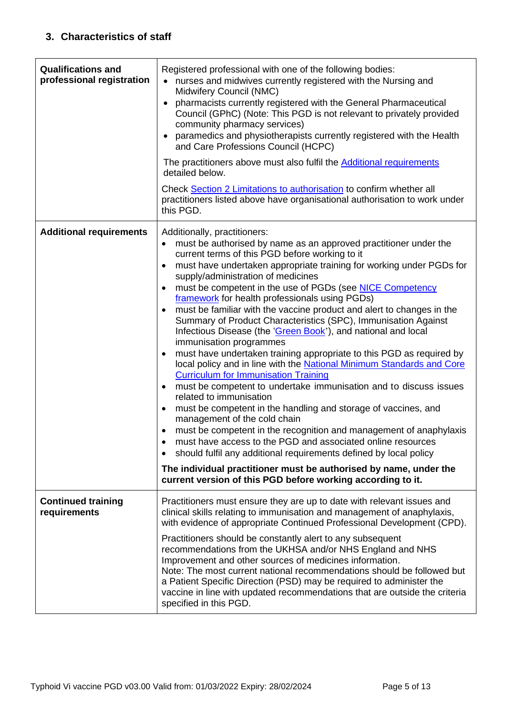<span id="page-4-1"></span><span id="page-4-0"></span>

| <b>Qualifications and</b><br>professional registration | Registered professional with one of the following bodies:<br>nurses and midwives currently registered with the Nursing and<br>Midwifery Council (NMC)<br>pharmacists currently registered with the General Pharmaceutical<br>Council (GPhC) (Note: This PGD is not relevant to privately provided<br>community pharmacy services)<br>paramedics and physiotherapists currently registered with the Health<br>and Care Professions Council (HCPC)<br>The practitioners above must also fulfil the <b>Additional requirements</b><br>detailed below.<br>Check Section 2 Limitations to authorisation to confirm whether all<br>practitioners listed above have organisational authorisation to work under<br>this PGD.                                                                                                                                                                                                                                                                                                                                                                                                                                                                                                                                                                                                                                                                                                       |
|--------------------------------------------------------|----------------------------------------------------------------------------------------------------------------------------------------------------------------------------------------------------------------------------------------------------------------------------------------------------------------------------------------------------------------------------------------------------------------------------------------------------------------------------------------------------------------------------------------------------------------------------------------------------------------------------------------------------------------------------------------------------------------------------------------------------------------------------------------------------------------------------------------------------------------------------------------------------------------------------------------------------------------------------------------------------------------------------------------------------------------------------------------------------------------------------------------------------------------------------------------------------------------------------------------------------------------------------------------------------------------------------------------------------------------------------------------------------------------------------|
| <b>Additional requirements</b>                         | Additionally, practitioners:<br>must be authorised by name as an approved practitioner under the<br>current terms of this PGD before working to it<br>must have undertaken appropriate training for working under PGDs for<br>$\bullet$<br>supply/administration of medicines<br>must be competent in the use of PGDs (see NICE Competency<br>framework for health professionals using PGDs)<br>must be familiar with the vaccine product and alert to changes in the<br>Summary of Product Characteristics (SPC), Immunisation Against<br>Infectious Disease (the 'Green Book'), and national and local<br>immunisation programmes<br>must have undertaken training appropriate to this PGD as required by<br>$\bullet$<br>local policy and in line with the National Minimum Standards and Core<br><b>Curriculum for Immunisation Training</b><br>must be competent to undertake immunisation and to discuss issues<br>related to immunisation<br>must be competent in the handling and storage of vaccines, and<br>$\bullet$<br>management of the cold chain<br>must be competent in the recognition and management of anaphylaxis<br>must have access to the PGD and associated online resources<br>should fulfil any additional requirements defined by local policy<br>$\bullet$<br>The individual practitioner must be authorised by name, under the<br>current version of this PGD before working according to it. |
| <b>Continued training</b><br>requirements              | Practitioners must ensure they are up to date with relevant issues and<br>clinical skills relating to immunisation and management of anaphylaxis,                                                                                                                                                                                                                                                                                                                                                                                                                                                                                                                                                                                                                                                                                                                                                                                                                                                                                                                                                                                                                                                                                                                                                                                                                                                                          |
|                                                        | with evidence of appropriate Continued Professional Development (CPD).<br>Practitioners should be constantly alert to any subsequent<br>recommendations from the UKHSA and/or NHS England and NHS<br>Improvement and other sources of medicines information.<br>Note: The most current national recommendations should be followed but<br>a Patient Specific Direction (PSD) may be required to administer the<br>vaccine in line with updated recommendations that are outside the criteria<br>specified in this PGD.                                                                                                                                                                                                                                                                                                                                                                                                                                                                                                                                                                                                                                                                                                                                                                                                                                                                                                     |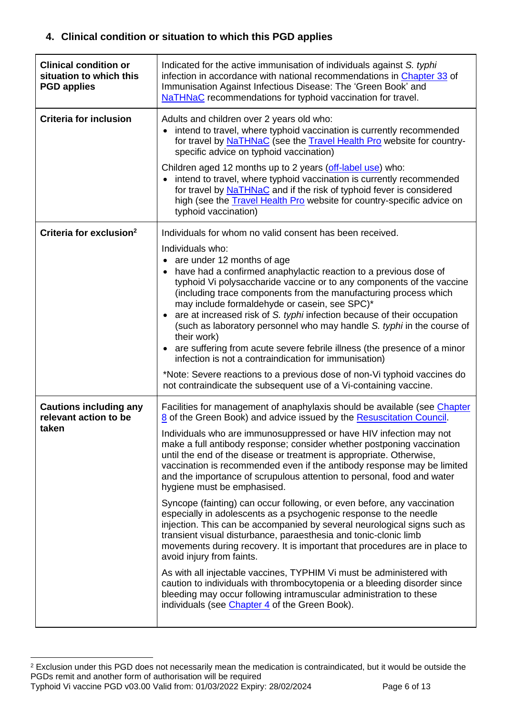## **4. Clinical condition or situation to which this PGD applies**

| <b>Clinical condition or</b><br>situation to which this<br><b>PGD applies</b> | Indicated for the active immunisation of individuals against S. typhi<br>infection in accordance with national recommendations in Chapter 33 of<br>Immunisation Against Infectious Disease: The 'Green Book' and<br>NaTHNaC recommendations for typhoid vaccination for travel.                                                                                                                                                                                                                                                                                                                                                                                                                                                                                                                                                                                                                                                                                                                                                                                                                                                                                                                                                                              |
|-------------------------------------------------------------------------------|--------------------------------------------------------------------------------------------------------------------------------------------------------------------------------------------------------------------------------------------------------------------------------------------------------------------------------------------------------------------------------------------------------------------------------------------------------------------------------------------------------------------------------------------------------------------------------------------------------------------------------------------------------------------------------------------------------------------------------------------------------------------------------------------------------------------------------------------------------------------------------------------------------------------------------------------------------------------------------------------------------------------------------------------------------------------------------------------------------------------------------------------------------------------------------------------------------------------------------------------------------------|
| <b>Criteria for inclusion</b>                                                 | Adults and children over 2 years old who:<br>• intend to travel, where typhoid vaccination is currently recommended<br>for travel by NaTHNaC (see the Travel Health Pro website for country-<br>specific advice on typhoid vaccination)<br>Children aged 12 months up to 2 years (off-label use) who:<br>intend to travel, where typhoid vaccination is currently recommended<br>for travel by NaTHNaC and if the risk of typhoid fever is considered<br>high (see the <b>Travel Health Pro</b> website for country-specific advice on<br>typhoid vaccination)                                                                                                                                                                                                                                                                                                                                                                                                                                                                                                                                                                                                                                                                                               |
| Criteria for exclusion <sup>2</sup>                                           | Individuals for whom no valid consent has been received.<br>Individuals who:<br>• are under 12 months of age<br>have had a confirmed anaphylactic reaction to a previous dose of<br>$\bullet$<br>typhoid Vi polysaccharide vaccine or to any components of the vaccine<br>(including trace components from the manufacturing process which<br>may include formaldehyde or casein, see SPC)*<br>• are at increased risk of S. typhi infection because of their occupation<br>(such as laboratory personnel who may handle S. typhi in the course of<br>their work)<br>are suffering from acute severe febrile illness (the presence of a minor<br>infection is not a contraindication for immunisation)<br>*Note: Severe reactions to a previous dose of non-Vi typhoid vaccines do<br>not contraindicate the subsequent use of a Vi-containing vaccine.                                                                                                                                                                                                                                                                                                                                                                                                      |
| <b>Cautions including any</b><br>relevant action to be<br>taken               | Facilities for management of anaphylaxis should be available (see Chapter<br>8 of the Green Book) and advice issued by the Resuscitation Council.<br>Individuals who are immunosuppressed or have HIV infection may not<br>make a full antibody response; consider whether postponing vaccination<br>until the end of the disease or treatment is appropriate. Otherwise,<br>vaccination is recommended even if the antibody response may be limited<br>and the importance of scrupulous attention to personal, food and water<br>hygiene must be emphasised.<br>Syncope (fainting) can occur following, or even before, any vaccination<br>especially in adolescents as a psychogenic response to the needle<br>injection. This can be accompanied by several neurological signs such as<br>transient visual disturbance, paraesthesia and tonic-clonic limb<br>movements during recovery. It is important that procedures are in place to<br>avoid injury from faints.<br>As with all injectable vaccines, TYPHIM Vi must be administered with<br>caution to individuals with thrombocytopenia or a bleeding disorder since<br>bleeding may occur following intramuscular administration to these<br>individuals (see <i>Chapter 4</i> of the Green Book). |

<sup>&</sup>lt;sup>2</sup> Exclusion under this PGD does not necessarily mean the medication is contraindicated, but it would be outside the PGDs remit and another form of authorisation will be required

Typhoid Vi vaccine PGD v03.00 Valid from: 01/03/2022 Expiry: 28/02/2024 Page 6 of 13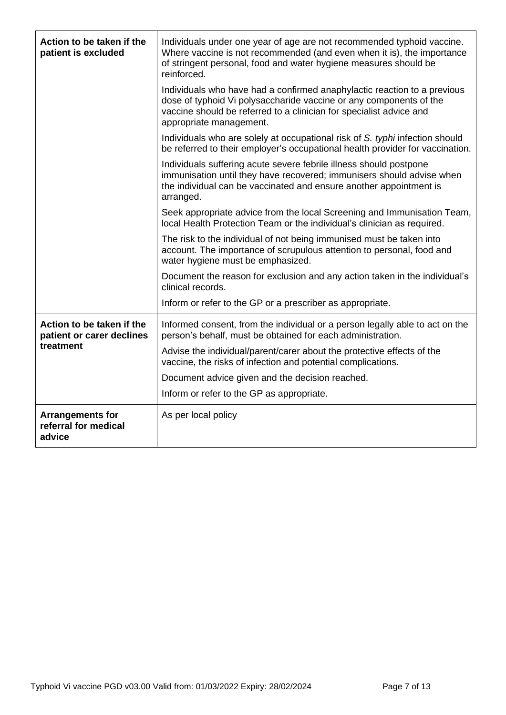| Action to be taken if the<br>patient is excluded          | Individuals under one year of age are not recommended typhoid vaccine.<br>Where vaccine is not recommended (and even when it is), the importance<br>of stringent personal, food and water hygiene measures should be<br>reinforced.              |
|-----------------------------------------------------------|--------------------------------------------------------------------------------------------------------------------------------------------------------------------------------------------------------------------------------------------------|
|                                                           | Individuals who have had a confirmed anaphylactic reaction to a previous<br>dose of typhoid Vi polysaccharide vaccine or any components of the<br>vaccine should be referred to a clinician for specialist advice and<br>appropriate management. |
|                                                           | Individuals who are solely at occupational risk of S. typhi infection should<br>be referred to their employer's occupational health provider for vaccination.                                                                                    |
|                                                           | Individuals suffering acute severe febrile illness should postpone<br>immunisation until they have recovered; immunisers should advise when<br>the individual can be vaccinated and ensure another appointment is<br>arranged.                   |
|                                                           | Seek appropriate advice from the local Screening and Immunisation Team,<br>local Health Protection Team or the individual's clinician as required.                                                                                               |
|                                                           | The risk to the individual of not being immunised must be taken into<br>account. The importance of scrupulous attention to personal, food and<br>water hygiene must be emphasized.                                                               |
|                                                           | Document the reason for exclusion and any action taken in the individual's<br>clinical records.                                                                                                                                                  |
|                                                           | Inform or refer to the GP or a prescriber as appropriate.                                                                                                                                                                                        |
| Action to be taken if the<br>patient or carer declines    | Informed consent, from the individual or a person legally able to act on the<br>person's behalf, must be obtained for each administration.                                                                                                       |
| treatment                                                 | Advise the individual/parent/carer about the protective effects of the<br>vaccine, the risks of infection and potential complications.                                                                                                           |
|                                                           | Document advice given and the decision reached.                                                                                                                                                                                                  |
|                                                           | Inform or refer to the GP as appropriate.                                                                                                                                                                                                        |
| <b>Arrangements for</b><br>referral for medical<br>advice | As per local policy                                                                                                                                                                                                                              |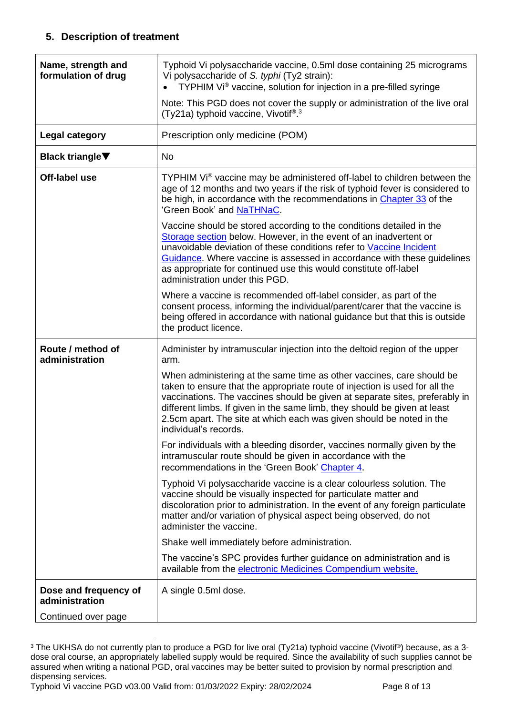## **5. Description of treatment**

<span id="page-7-0"></span>

| Name, strength and<br>formulation of drug                      | Typhoid Vi polysaccharide vaccine, 0.5ml dose containing 25 micrograms<br>Vi polysaccharide of S. typhi (Ty2 strain):<br>TYPHIM Vi® vaccine, solution for injection in a pre-filled syringe<br>$\bullet$                                                                                                                                                                                          |
|----------------------------------------------------------------|---------------------------------------------------------------------------------------------------------------------------------------------------------------------------------------------------------------------------------------------------------------------------------------------------------------------------------------------------------------------------------------------------|
|                                                                | Note: This PGD does not cover the supply or administration of the live oral<br>(Ty21a) typhoid vaccine, Vivotif®.3                                                                                                                                                                                                                                                                                |
| <b>Legal category</b>                                          | Prescription only medicine (POM)                                                                                                                                                                                                                                                                                                                                                                  |
| <b>Black triangle</b> ▼                                        | No                                                                                                                                                                                                                                                                                                                                                                                                |
| Off-label use                                                  | TYPHIM Vi® vaccine may be administered off-label to children between the<br>age of 12 months and two years if the risk of typhoid fever is considered to<br>be high, in accordance with the recommendations in Chapter 33 of the<br>'Green Book' and NaTHNaC.                                                                                                                                     |
|                                                                | Vaccine should be stored according to the conditions detailed in the<br>Storage section below. However, in the event of an inadvertent or<br>unavoidable deviation of these conditions refer to Vaccine Incident<br>Guidance. Where vaccine is assessed in accordance with these guidelines<br>as appropriate for continued use this would constitute off-label<br>administration under this PGD. |
|                                                                | Where a vaccine is recommended off-label consider, as part of the<br>consent process, informing the individual/parent/carer that the vaccine is<br>being offered in accordance with national guidance but that this is outside<br>the product licence.                                                                                                                                            |
| Route / method of<br>administration                            | Administer by intramuscular injection into the deltoid region of the upper<br>arm.                                                                                                                                                                                                                                                                                                                |
|                                                                | When administering at the same time as other vaccines, care should be                                                                                                                                                                                                                                                                                                                             |
|                                                                | taken to ensure that the appropriate route of injection is used for all the<br>vaccinations. The vaccines should be given at separate sites, preferably in<br>different limbs. If given in the same limb, they should be given at least<br>2.5cm apart. The site at which each was given should be noted in the<br>individual's records.                                                          |
|                                                                | For individuals with a bleeding disorder, vaccines normally given by the<br>intramuscular route should be given in accordance with the<br>recommendations in the 'Green Book' Chapter 4.                                                                                                                                                                                                          |
|                                                                | Typhoid Vi polysaccharide vaccine is a clear colourless solution. The<br>vaccine should be visually inspected for particulate matter and<br>discoloration prior to administration. In the event of any foreign particulate<br>matter and/or variation of physical aspect being observed, do not<br>administer the vaccine.                                                                        |
|                                                                | Shake well immediately before administration.                                                                                                                                                                                                                                                                                                                                                     |
|                                                                | The vaccine's SPC provides further guidance on administration and is<br>available from the electronic Medicines Compendium website.                                                                                                                                                                                                                                                               |
| Dose and frequency of<br>administration<br>Continued over page | A single 0.5ml dose.                                                                                                                                                                                                                                                                                                                                                                              |

<span id="page-7-1"></span><sup>&</sup>lt;sup>3</sup> The UKHSA do not currently plan to produce a PGD for live oral (Ty21a) typhoid vaccine (Vivotif®) because, as a 3dose oral course, an appropriately labelled supply would be required. Since the availability of such supplies cannot be assured when writing a national PGD, oral vaccines may be better suited to provision by normal prescription and dispensing services.

Typhoid Vi vaccine PGD v03.00 Valid from: 01/03/2022 Expiry: 28/02/2024 Page 8 of 13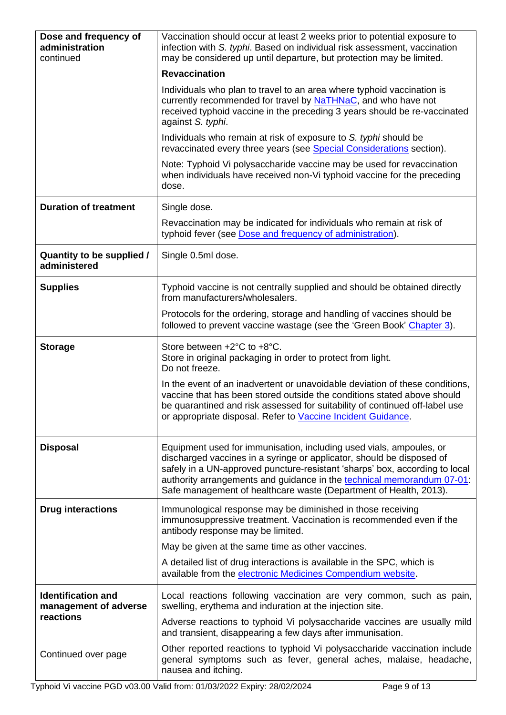<span id="page-8-0"></span>

| Dose and frequency of<br>administration<br>continued | Vaccination should occur at least 2 weeks prior to potential exposure to<br>infection with S. typhi. Based on individual risk assessment, vaccination<br>may be considered up until departure, but protection may be limited.                                                                                                                                              |
|------------------------------------------------------|----------------------------------------------------------------------------------------------------------------------------------------------------------------------------------------------------------------------------------------------------------------------------------------------------------------------------------------------------------------------------|
|                                                      | <b>Revaccination</b>                                                                                                                                                                                                                                                                                                                                                       |
|                                                      | Individuals who plan to travel to an area where typhoid vaccination is<br>currently recommended for travel by NaTHNaC, and who have not<br>received typhoid vaccine in the preceding 3 years should be re-vaccinated<br>against S. typhi.                                                                                                                                  |
|                                                      | Individuals who remain at risk of exposure to S. typhi should be<br>revaccinated every three years (see Special Considerations section).                                                                                                                                                                                                                                   |
|                                                      | Note: Typhoid Vi polysaccharide vaccine may be used for revaccination<br>when individuals have received non-Vi typhoid vaccine for the preceding<br>dose.                                                                                                                                                                                                                  |
| <b>Duration of treatment</b>                         | Single dose.                                                                                                                                                                                                                                                                                                                                                               |
|                                                      | Revaccination may be indicated for individuals who remain at risk of<br>typhoid fever (see Dose and frequency of administration).                                                                                                                                                                                                                                          |
| Quantity to be supplied /<br>administered            | Single 0.5ml dose.                                                                                                                                                                                                                                                                                                                                                         |
| <b>Supplies</b>                                      | Typhoid vaccine is not centrally supplied and should be obtained directly<br>from manufacturers/wholesalers.                                                                                                                                                                                                                                                               |
|                                                      | Protocols for the ordering, storage and handling of vaccines should be<br>followed to prevent vaccine wastage (see the 'Green Book' Chapter 3).                                                                                                                                                                                                                            |
| <b>Storage</b>                                       | Store between +2°C to +8°C.<br>Store in original packaging in order to protect from light.<br>Do not freeze.                                                                                                                                                                                                                                                               |
|                                                      | In the event of an inadvertent or unavoidable deviation of these conditions,<br>vaccine that has been stored outside the conditions stated above should<br>be quarantined and risk assessed for suitability of continued off-label use<br>or appropriate disposal. Refer to Vaccine Incident Guidance.                                                                     |
| <b>Disposal</b>                                      | Equipment used for immunisation, including used vials, ampoules, or<br>discharged vaccines in a syringe or applicator, should be disposed of<br>safely in a UN-approved puncture-resistant 'sharps' box, according to local<br>authority arrangements and guidance in the technical memorandum 07-01:<br>Safe management of healthcare waste (Department of Health, 2013). |
| <b>Drug interactions</b>                             | Immunological response may be diminished in those receiving<br>immunosuppressive treatment. Vaccination is recommended even if the<br>antibody response may be limited.                                                                                                                                                                                                    |
|                                                      | May be given at the same time as other vaccines.                                                                                                                                                                                                                                                                                                                           |
|                                                      | A detailed list of drug interactions is available in the SPC, which is<br>available from the electronic Medicines Compendium website.                                                                                                                                                                                                                                      |
| <b>Identification and</b><br>management of adverse   | Local reactions following vaccination are very common, such as pain,<br>swelling, erythema and induration at the injection site.                                                                                                                                                                                                                                           |
| reactions                                            | Adverse reactions to typhoid Vi polysaccharide vaccines are usually mild<br>and transient, disappearing a few days after immunisation.                                                                                                                                                                                                                                     |
| Continued over page                                  | Other reported reactions to typhoid Vi polysaccharide vaccination include<br>general symptoms such as fever, general aches, malaise, headache,<br>nausea and itching.                                                                                                                                                                                                      |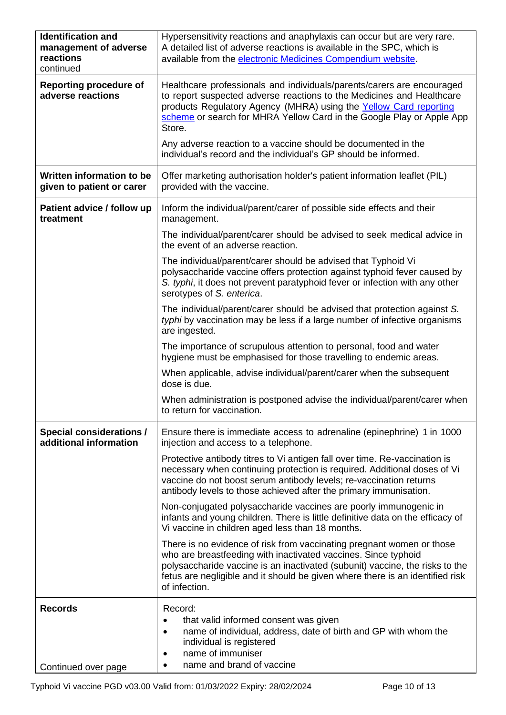<span id="page-9-0"></span>

| <b>Identification and</b><br>management of adverse<br>reactions<br>continued | Hypersensitivity reactions and anaphylaxis can occur but are very rare.<br>A detailed list of adverse reactions is available in the SPC, which is<br>available from the electronic Medicines Compendium website.                                                                                                          |
|------------------------------------------------------------------------------|---------------------------------------------------------------------------------------------------------------------------------------------------------------------------------------------------------------------------------------------------------------------------------------------------------------------------|
| <b>Reporting procedure of</b><br>adverse reactions                           | Healthcare professionals and individuals/parents/carers are encouraged<br>to report suspected adverse reactions to the Medicines and Healthcare<br>products Regulatory Agency (MHRA) using the Yellow Card reporting<br>scheme or search for MHRA Yellow Card in the Google Play or Apple App<br>Store.                   |
|                                                                              | Any adverse reaction to a vaccine should be documented in the<br>individual's record and the individual's GP should be informed.                                                                                                                                                                                          |
| Written information to be<br>given to patient or carer                       | Offer marketing authorisation holder's patient information leaflet (PIL)<br>provided with the vaccine.                                                                                                                                                                                                                    |
| Patient advice / follow up<br>treatment                                      | Inform the individual/parent/carer of possible side effects and their<br>management.                                                                                                                                                                                                                                      |
|                                                                              | The individual/parent/carer should be advised to seek medical advice in<br>the event of an adverse reaction.                                                                                                                                                                                                              |
|                                                                              | The individual/parent/carer should be advised that Typhoid Vi<br>polysaccharide vaccine offers protection against typhoid fever caused by<br>S. typhi, it does not prevent paratyphoid fever or infection with any other<br>serotypes of S. enterica.                                                                     |
|                                                                              | The individual/parent/carer should be advised that protection against S.<br>typhi by vaccination may be less if a large number of infective organisms<br>are ingested.                                                                                                                                                    |
|                                                                              | The importance of scrupulous attention to personal, food and water<br>hygiene must be emphasised for those travelling to endemic areas.                                                                                                                                                                                   |
|                                                                              | When applicable, advise individual/parent/carer when the subsequent<br>dose is due.                                                                                                                                                                                                                                       |
|                                                                              | When administration is postponed advise the individual/parent/carer when<br>to return for vaccination.                                                                                                                                                                                                                    |
| <b>Special considerations /</b><br>additional information                    | Ensure there is immediate access to adrenaline (epinephrine) 1 in 1000<br>injection and access to a telephone.                                                                                                                                                                                                            |
|                                                                              | Protective antibody titres to Vi antigen fall over time. Re-vaccination is<br>necessary when continuing protection is required. Additional doses of Vi<br>vaccine do not boost serum antibody levels; re-vaccination returns<br>antibody levels to those achieved after the primary immunisation.                         |
|                                                                              | Non-conjugated polysaccharide vaccines are poorly immunogenic in<br>infants and young children. There is little definitive data on the efficacy of<br>Vi vaccine in children aged less than 18 months.                                                                                                                    |
|                                                                              | There is no evidence of risk from vaccinating pregnant women or those<br>who are breastfeeding with inactivated vaccines. Since typhoid<br>polysaccharide vaccine is an inactivated (subunit) vaccine, the risks to the<br>fetus are negligible and it should be given where there is an identified risk<br>of infection. |
| <b>Records</b>                                                               | Record:<br>that valid informed consent was given<br>$\bullet$<br>name of individual, address, date of birth and GP with whom the<br>$\bullet$<br>individual is registered<br>name of immuniser<br>$\bullet$                                                                                                               |
| Continued over page                                                          | name and brand of vaccine                                                                                                                                                                                                                                                                                                 |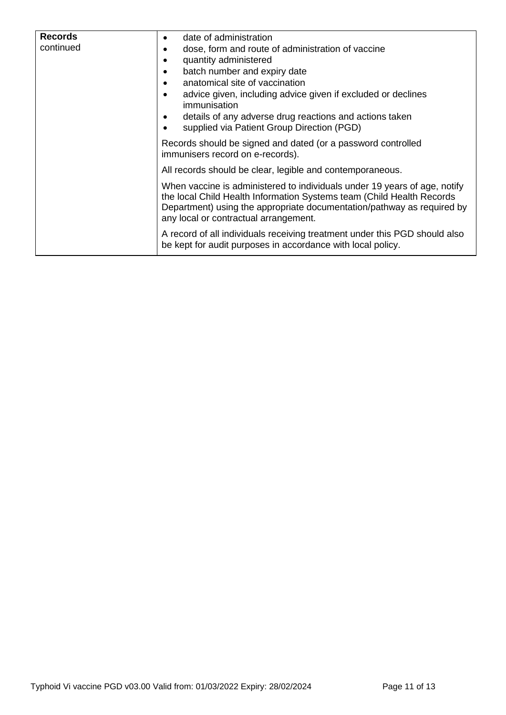| <b>Records</b> | date of administration<br>٠                                                                                                                                                                                                                                           |  |  |
|----------------|-----------------------------------------------------------------------------------------------------------------------------------------------------------------------------------------------------------------------------------------------------------------------|--|--|
| continued      | dose, form and route of administration of vaccine                                                                                                                                                                                                                     |  |  |
|                | quantity administered                                                                                                                                                                                                                                                 |  |  |
|                | batch number and expiry date                                                                                                                                                                                                                                          |  |  |
|                | anatomical site of vaccination                                                                                                                                                                                                                                        |  |  |
|                | advice given, including advice given if excluded or declines<br>immunisation                                                                                                                                                                                          |  |  |
|                | details of any adverse drug reactions and actions taken                                                                                                                                                                                                               |  |  |
|                | supplied via Patient Group Direction (PGD)                                                                                                                                                                                                                            |  |  |
|                | Records should be signed and dated (or a password controlled<br>immunisers record on e-records).                                                                                                                                                                      |  |  |
|                | All records should be clear, legible and contemporaneous.                                                                                                                                                                                                             |  |  |
|                | When vaccine is administered to individuals under 19 years of age, notify<br>the local Child Health Information Systems team (Child Health Records<br>Department) using the appropriate documentation/pathway as required by<br>any local or contractual arrangement. |  |  |
|                | A record of all individuals receiving treatment under this PGD should also<br>be kept for audit purposes in accordance with local policy.                                                                                                                             |  |  |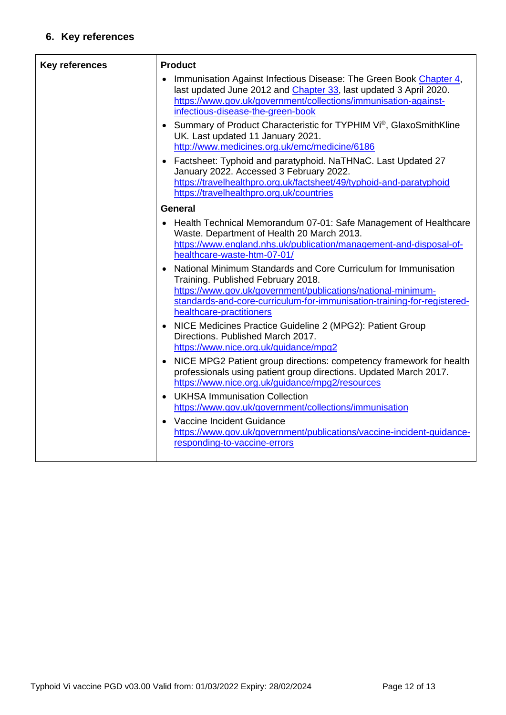## **6. Key references**

| <b>Key references</b> | <b>Product</b>                                                                                                                                                                                                                                                               |  |  |
|-----------------------|------------------------------------------------------------------------------------------------------------------------------------------------------------------------------------------------------------------------------------------------------------------------------|--|--|
|                       | Immunisation Against Infectious Disease: The Green Book Chapter 4,<br>last updated June 2012 and Chapter 33, last updated 3 April 2020.<br>https://www.gov.uk/government/collections/immunisation-against-<br>infectious-disease-the-green-book                              |  |  |
|                       | • Summary of Product Characteristic for TYPHIM Vi®, GlaxoSmithKline<br>UK. Last updated 11 January 2021.<br>http://www.medicines.org.uk/emc/medicine/6186                                                                                                                    |  |  |
|                       | Factsheet: Typhoid and paratyphoid. NaTHNaC. Last Updated 27<br>$\bullet$<br>January 2022. Accessed 3 February 2022.<br>https://travelhealthpro.org.uk/factsheet/49/typhoid-and-paratyphoid<br>https://travelhealthpro.org.uk/countries                                      |  |  |
|                       | <b>General</b>                                                                                                                                                                                                                                                               |  |  |
|                       | Health Technical Memorandum 07-01: Safe Management of Healthcare<br>$\bullet$<br>Waste. Department of Health 20 March 2013.<br>https://www.england.nhs.uk/publication/management-and-disposal-of-<br>healthcare-waste-htm-07-01/                                             |  |  |
|                       | National Minimum Standards and Core Curriculum for Immunisation<br>Training. Published February 2018.<br>https://www.gov.uk/government/publications/national-minimum-<br>standards-and-core-curriculum-for-immunisation-training-for-registered-<br>healthcare-practitioners |  |  |
|                       | • NICE Medicines Practice Guideline 2 (MPG2): Patient Group<br>Directions. Published March 2017.<br>https://www.nice.org.uk/guidance/mpg2                                                                                                                                    |  |  |
|                       | NICE MPG2 Patient group directions: competency framework for health<br>$\bullet$<br>professionals using patient group directions. Updated March 2017.<br>https://www.nice.org.uk/guidance/mpg2/resources                                                                     |  |  |
|                       | <b>UKHSA Immunisation Collection</b><br>$\bullet$<br>https://www.gov.uk/government/collections/immunisation                                                                                                                                                                  |  |  |
|                       | Vaccine Incident Guidance<br>https://www.gov.uk/government/publications/vaccine-incident-guidance-<br>responding-to-vaccine-errors                                                                                                                                           |  |  |